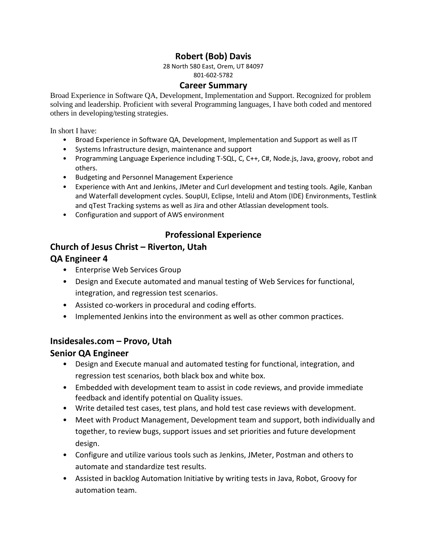# **Robert (Bob) Davis**

28 North 580 East, Orem, UT 84097 801-602-5782

#### **Career Summary**

Broad Experience in Software QA, Development, Implementation and Support. Recognized for problem solving and leadership. Proficient with several Programming languages, I have both coded and mentored others in developing/testing strategies.

In short I have:

- Broad Experience in Software QA, Development, Implementation and Support as well as IT
- Systems Infrastructure design, maintenance and support
- Programming Language Experience including T-SQL, C, C++, C#, Node.js, Java, groovy, robot and others.
- Budgeting and Personnel Management Experience
- Experience with Ant and Jenkins, JMeter and Curl development and testing tools. Agile, Kanban and Waterfall development cycles. SoupUI, Eclipse, InteliJ and Atom (IDE) Environments, Testlink and qTest Tracking systems as well as Jira and other Atlassian development tools.
- Configuration and support of AWS environment

## **Professional Experience**

## **Church of Jesus Christ – Riverton, Utah**

### **QA Engineer 4**

- Enterprise Web Services Group
- Design and Execute automated and manual testing of Web Services for functional, integration, and regression test scenarios.
- Assisted co-workers in procedural and coding efforts.
- Implemented Jenkins into the environment as well as other common practices.

### **Insidesales.com – Provo, Utah**

### **Senior QA Engineer**

- Design and Execute manual and automated testing for functional, integration, and regression test scenarios, both black box and white box.
- Embedded with development team to assist in code reviews, and provide immediate feedback and identify potential on Quality issues.
- Write detailed test cases, test plans, and hold test case reviews with development.
- Meet with Product Management, Development team and support, both individually and together, to review bugs, support issues and set priorities and future development design.
- Configure and utilize various tools such as Jenkins, JMeter, Postman and others to automate and standardize test results.
- Assisted in backlog Automation Initiative by writing tests in Java, Robot, Groovy for automation team.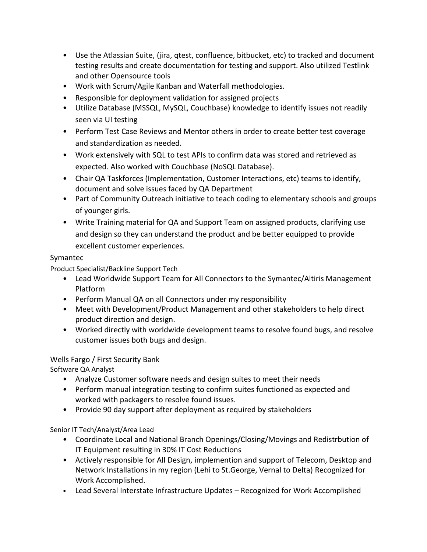- Use the Atlassian Suite, (jira, qtest, confluence, bitbucket, etc) to tracked and document testing results and create documentation for testing and support. Also utilized Testlink and other Opensource tools
- Work with Scrum/Agile Kanban and Waterfall methodologies.
- Responsible for deployment validation for assigned projects
- Utilize Database (MSSQL, MySQL, Couchbase) knowledge to identify issues not readily seen via UI testing
- Perform Test Case Reviews and Mentor others in order to create better test coverage and standardization as needed.
- Work extensively with SQL to test APIs to confirm data was stored and retrieved as expected. Also worked with Couchbase (NoSQL Database).
- Chair QA Taskforces (Implementation, Customer Interactions, etc) teams to identify, document and solve issues faced by QA Department
- Part of Community Outreach initiative to teach coding to elementary schools and groups of younger girls.
- Write Training material for QA and Support Team on assigned products, clarifying use and design so they can understand the product and be better equipped to provide excellent customer experiences.

#### Symantec

Product Specialist/Backline Support Tech

- Lead Worldwide Support Team for All Connectors to the Symantec/Altiris Management Platform
- Perform Manual QA on all Connectors under my responsibility
- Meet with Development/Product Management and other stakeholders to help direct product direction and design.
- Worked directly with worldwide development teams to resolve found bugs, and resolve customer issues both bugs and design.

### Wells Fargo / First Security Bank

Software QA Analyst

- Analyze Customer software needs and design suites to meet their needs
- Perform manual integration testing to confirm suites functioned as expected and worked with packagers to resolve found issues.
- Provide 90 day support after deployment as required by stakeholders

Senior IT Tech/Analyst/Area Lead

- Coordinate Local and National Branch Openings/Closing/Movings and Redistrbution of IT Equipment resulting in 30% IT Cost Reductions
- Actively responsible for All Design, implemention and support of Telecom, Desktop and Network Installations in my region (Lehi to St.George, Vernal to Delta) Recognized for Work Accomplished.
- Lead Several Interstate Infrastructure Updates Recognized for Work Accomplished